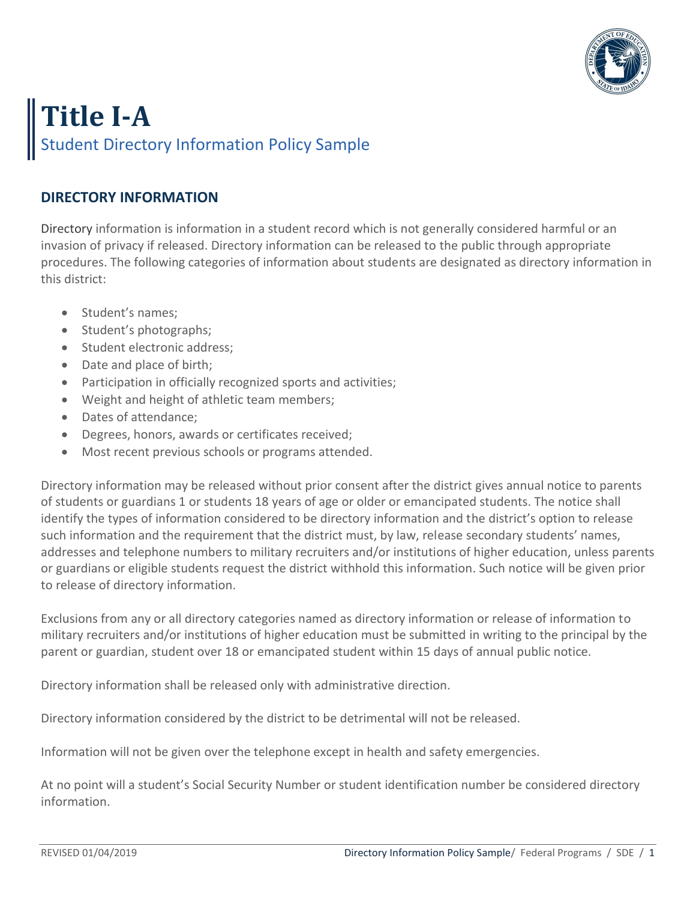

## **Title I-A**  Student Directory Information Policy Sample

## **DIRECTORY INFORMATION**

Directory information is information in a student record which is not generally considered harmful or an invasion of privacy if released. Directory information can be released to the public through appropriate procedures. The following categories of information about students are designated as directory information in this district:

- Student's names;
- Student's photographs;
- Student electronic address:
- Date and place of birth;
- Participation in officially recognized sports and activities;
- Weight and height of athletic team members;
- Dates of attendance;
- Degrees, honors, awards or certificates received;
- Most recent previous schools or programs attended.

Directory information may be released without prior consent after the district gives annual notice to parents of students or guardians 1 or students 18 years of age or older or emancipated students. The notice shall identify the types of information considered to be directory information and the district's option to release such information and the requirement that the district must, by law, release secondary students' names, addresses and telephone numbers to military recruiters and/or institutions of higher education, unless parents or guardians or eligible students request the district withhold this information. Such notice will be given prior to release of directory information.

Exclusions from any or all directory categories named as directory information or release of information to military recruiters and/or institutions of higher education must be submitted in writing to the principal by the parent or guardian, student over 18 or emancipated student within 15 days of annual public notice.

Directory information shall be released only with administrative direction.

Directory information considered by the district to be detrimental will not be released.

Information will not be given over the telephone except in health and safety emergencies.

At no point will a student's Social Security Number or student identification number be considered directory information.